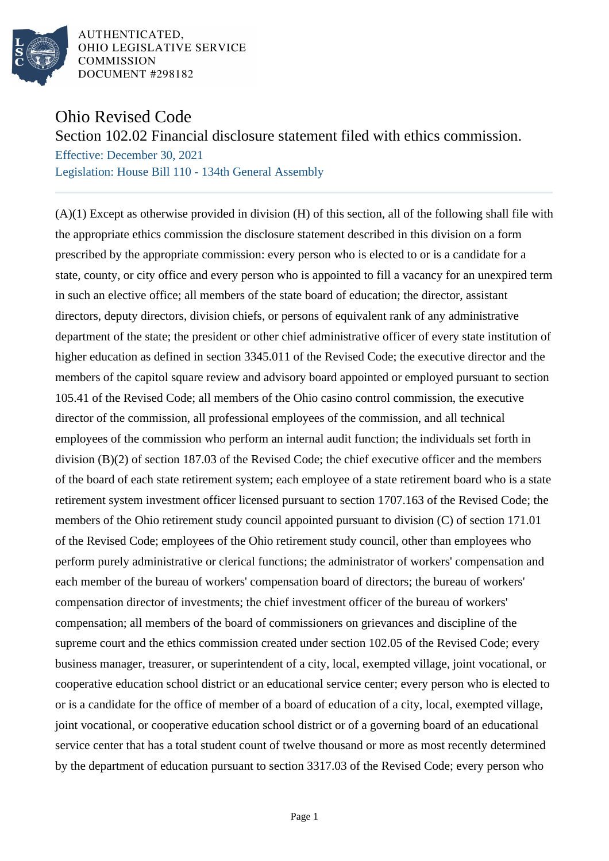

# Ohio Revised Code

## Section 102.02 Financial disclosure statement filed with ethics commission.

Effective: December 30, 2021 Legislation: House Bill 110 - 134th General Assembly

(A)(1) Except as otherwise provided in division (H) of this section, all of the following shall file with the appropriate ethics commission the disclosure statement described in this division on a form prescribed by the appropriate commission: every person who is elected to or is a candidate for a state, county, or city office and every person who is appointed to fill a vacancy for an unexpired term in such an elective office; all members of the state board of education; the director, assistant directors, deputy directors, division chiefs, or persons of equivalent rank of any administrative department of the state; the president or other chief administrative officer of every state institution of higher education as defined in section 3345.011 of the Revised Code; the executive director and the members of the capitol square review and advisory board appointed or employed pursuant to section 105.41 of the Revised Code; all members of the Ohio casino control commission, the executive director of the commission, all professional employees of the commission, and all technical employees of the commission who perform an internal audit function; the individuals set forth in division (B)(2) of section 187.03 of the Revised Code; the chief executive officer and the members of the board of each state retirement system; each employee of a state retirement board who is a state retirement system investment officer licensed pursuant to section 1707.163 of the Revised Code; the members of the Ohio retirement study council appointed pursuant to division (C) of section 171.01 of the Revised Code; employees of the Ohio retirement study council, other than employees who perform purely administrative or clerical functions; the administrator of workers' compensation and each member of the bureau of workers' compensation board of directors; the bureau of workers' compensation director of investments; the chief investment officer of the bureau of workers' compensation; all members of the board of commissioners on grievances and discipline of the supreme court and the ethics commission created under section 102.05 of the Revised Code; every business manager, treasurer, or superintendent of a city, local, exempted village, joint vocational, or cooperative education school district or an educational service center; every person who is elected to or is a candidate for the office of member of a board of education of a city, local, exempted village, joint vocational, or cooperative education school district or of a governing board of an educational service center that has a total student count of twelve thousand or more as most recently determined by the department of education pursuant to section 3317.03 of the Revised Code; every person who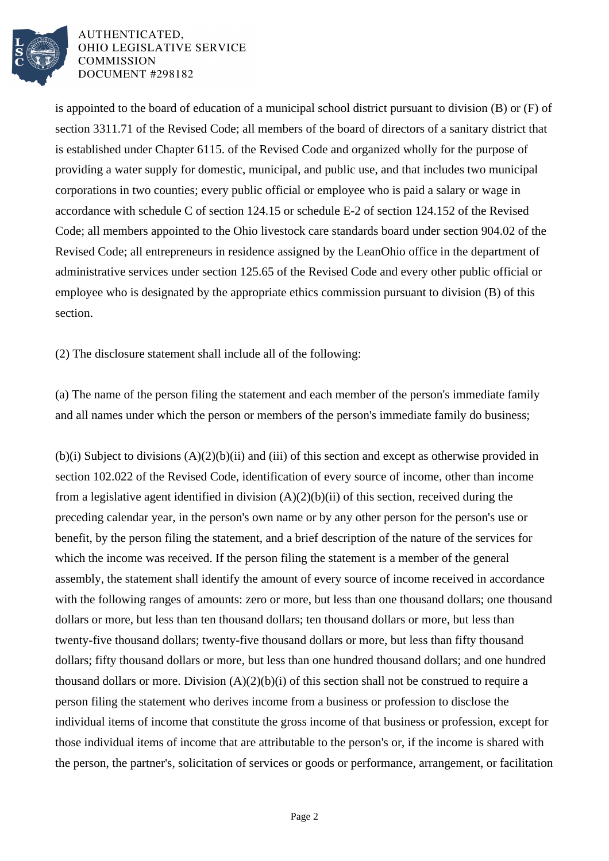

is appointed to the board of education of a municipal school district pursuant to division (B) or (F) of section 3311.71 of the Revised Code; all members of the board of directors of a sanitary district that is established under Chapter 6115. of the Revised Code and organized wholly for the purpose of providing a water supply for domestic, municipal, and public use, and that includes two municipal corporations in two counties; every public official or employee who is paid a salary or wage in accordance with schedule C of section 124.15 or schedule E-2 of section 124.152 of the Revised Code; all members appointed to the Ohio livestock care standards board under section 904.02 of the Revised Code; all entrepreneurs in residence assigned by the LeanOhio office in the department of administrative services under section 125.65 of the Revised Code and every other public official or employee who is designated by the appropriate ethics commission pursuant to division (B) of this section.

(2) The disclosure statement shall include all of the following:

(a) The name of the person filing the statement and each member of the person's immediate family and all names under which the person or members of the person's immediate family do business;

(b)(i) Subject to divisions (A)(2)(b)(ii) and (iii) of this section and except as otherwise provided in section 102.022 of the Revised Code, identification of every source of income, other than income from a legislative agent identified in division  $(A)(2)(b)(ii)$  of this section, received during the preceding calendar year, in the person's own name or by any other person for the person's use or benefit, by the person filing the statement, and a brief description of the nature of the services for which the income was received. If the person filing the statement is a member of the general assembly, the statement shall identify the amount of every source of income received in accordance with the following ranges of amounts: zero or more, but less than one thousand dollars; one thousand dollars or more, but less than ten thousand dollars; ten thousand dollars or more, but less than twenty-five thousand dollars; twenty-five thousand dollars or more, but less than fifty thousand dollars; fifty thousand dollars or more, but less than one hundred thousand dollars; and one hundred thousand dollars or more. Division  $(A)(2)(b)(i)$  of this section shall not be construed to require a person filing the statement who derives income from a business or profession to disclose the individual items of income that constitute the gross income of that business or profession, except for those individual items of income that are attributable to the person's or, if the income is shared with the person, the partner's, solicitation of services or goods or performance, arrangement, or facilitation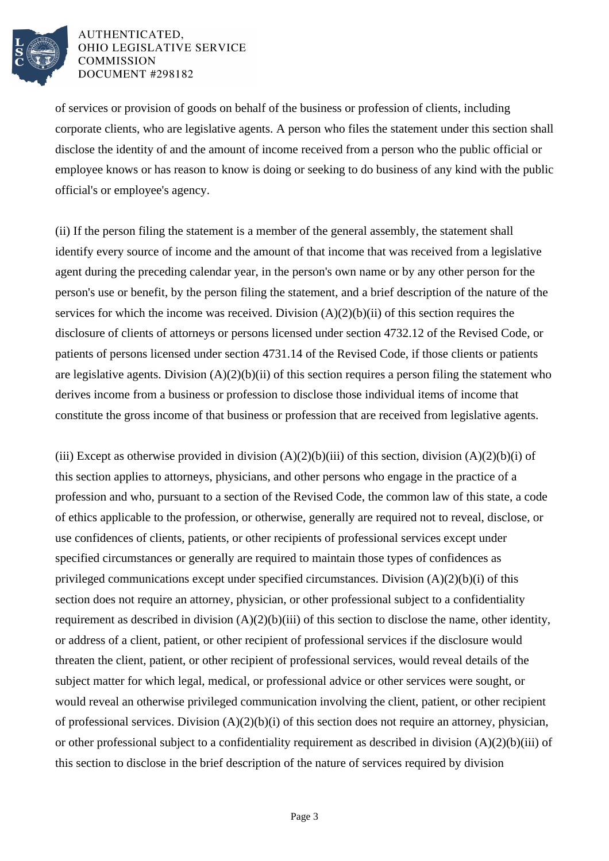

of services or provision of goods on behalf of the business or profession of clients, including corporate clients, who are legislative agents. A person who files the statement under this section shall disclose the identity of and the amount of income received from a person who the public official or employee knows or has reason to know is doing or seeking to do business of any kind with the public official's or employee's agency.

(ii) If the person filing the statement is a member of the general assembly, the statement shall identify every source of income and the amount of that income that was received from a legislative agent during the preceding calendar year, in the person's own name or by any other person for the person's use or benefit, by the person filing the statement, and a brief description of the nature of the services for which the income was received. Division  $(A)(2)(b)(ii)$  of this section requires the disclosure of clients of attorneys or persons licensed under section 4732.12 of the Revised Code, or patients of persons licensed under section 4731.14 of the Revised Code, if those clients or patients are legislative agents. Division  $(A)(2)(b)(ii)$  of this section requires a person filing the statement who derives income from a business or profession to disclose those individual items of income that constitute the gross income of that business or profession that are received from legislative agents.

(iii) Except as otherwise provided in division  $(A)(2)(b)(iii)$  of this section, division  $(A)(2)(b)(i)$  of this section applies to attorneys, physicians, and other persons who engage in the practice of a profession and who, pursuant to a section of the Revised Code, the common law of this state, a code of ethics applicable to the profession, or otherwise, generally are required not to reveal, disclose, or use confidences of clients, patients, or other recipients of professional services except under specified circumstances or generally are required to maintain those types of confidences as privileged communications except under specified circumstances. Division (A)(2)(b)(i) of this section does not require an attorney, physician, or other professional subject to a confidentiality requirement as described in division  $(A)(2)(b)(iii)$  of this section to disclose the name, other identity, or address of a client, patient, or other recipient of professional services if the disclosure would threaten the client, patient, or other recipient of professional services, would reveal details of the subject matter for which legal, medical, or professional advice or other services were sought, or would reveal an otherwise privileged communication involving the client, patient, or other recipient of professional services. Division (A)(2)(b)(i) of this section does not require an attorney, physician, or other professional subject to a confidentiality requirement as described in division (A)(2)(b)(iii) of this section to disclose in the brief description of the nature of services required by division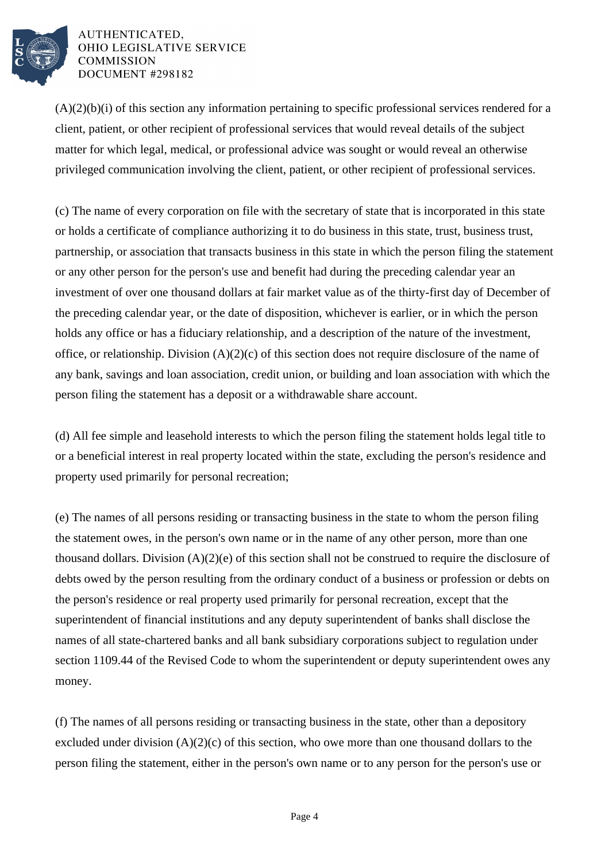

 $(A)(2)(b)(i)$  of this section any information pertaining to specific professional services rendered for a client, patient, or other recipient of professional services that would reveal details of the subject matter for which legal, medical, or professional advice was sought or would reveal an otherwise privileged communication involving the client, patient, or other recipient of professional services.

(c) The name of every corporation on file with the secretary of state that is incorporated in this state or holds a certificate of compliance authorizing it to do business in this state, trust, business trust, partnership, or association that transacts business in this state in which the person filing the statement or any other person for the person's use and benefit had during the preceding calendar year an investment of over one thousand dollars at fair market value as of the thirty-first day of December of the preceding calendar year, or the date of disposition, whichever is earlier, or in which the person holds any office or has a fiduciary relationship, and a description of the nature of the investment, office, or relationship. Division (A)(2)(c) of this section does not require disclosure of the name of any bank, savings and loan association, credit union, or building and loan association with which the person filing the statement has a deposit or a withdrawable share account.

(d) All fee simple and leasehold interests to which the person filing the statement holds legal title to or a beneficial interest in real property located within the state, excluding the person's residence and property used primarily for personal recreation;

(e) The names of all persons residing or transacting business in the state to whom the person filing the statement owes, in the person's own name or in the name of any other person, more than one thousand dollars. Division (A)(2)(e) of this section shall not be construed to require the disclosure of debts owed by the person resulting from the ordinary conduct of a business or profession or debts on the person's residence or real property used primarily for personal recreation, except that the superintendent of financial institutions and any deputy superintendent of banks shall disclose the names of all state-chartered banks and all bank subsidiary corporations subject to regulation under section 1109.44 of the Revised Code to whom the superintendent or deputy superintendent owes any money.

(f) The names of all persons residing or transacting business in the state, other than a depository excluded under division  $(A)(2)(c)$  of this section, who owe more than one thousand dollars to the person filing the statement, either in the person's own name or to any person for the person's use or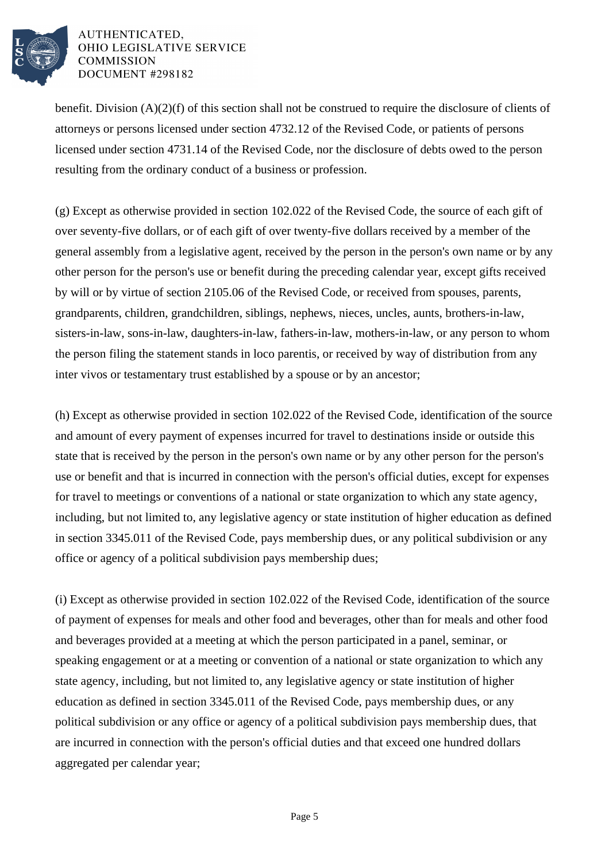

benefit. Division (A)(2)(f) of this section shall not be construed to require the disclosure of clients of attorneys or persons licensed under section 4732.12 of the Revised Code, or patients of persons licensed under section 4731.14 of the Revised Code, nor the disclosure of debts owed to the person resulting from the ordinary conduct of a business or profession.

(g) Except as otherwise provided in section 102.022 of the Revised Code, the source of each gift of over seventy-five dollars, or of each gift of over twenty-five dollars received by a member of the general assembly from a legislative agent, received by the person in the person's own name or by any other person for the person's use or benefit during the preceding calendar year, except gifts received by will or by virtue of section 2105.06 of the Revised Code, or received from spouses, parents, grandparents, children, grandchildren, siblings, nephews, nieces, uncles, aunts, brothers-in-law, sisters-in-law, sons-in-law, daughters-in-law, fathers-in-law, mothers-in-law, or any person to whom the person filing the statement stands in loco parentis, or received by way of distribution from any inter vivos or testamentary trust established by a spouse or by an ancestor;

(h) Except as otherwise provided in section 102.022 of the Revised Code, identification of the source and amount of every payment of expenses incurred for travel to destinations inside or outside this state that is received by the person in the person's own name or by any other person for the person's use or benefit and that is incurred in connection with the person's official duties, except for expenses for travel to meetings or conventions of a national or state organization to which any state agency, including, but not limited to, any legislative agency or state institution of higher education as defined in section 3345.011 of the Revised Code, pays membership dues, or any political subdivision or any office or agency of a political subdivision pays membership dues;

(i) Except as otherwise provided in section 102.022 of the Revised Code, identification of the source of payment of expenses for meals and other food and beverages, other than for meals and other food and beverages provided at a meeting at which the person participated in a panel, seminar, or speaking engagement or at a meeting or convention of a national or state organization to which any state agency, including, but not limited to, any legislative agency or state institution of higher education as defined in section 3345.011 of the Revised Code, pays membership dues, or any political subdivision or any office or agency of a political subdivision pays membership dues, that are incurred in connection with the person's official duties and that exceed one hundred dollars aggregated per calendar year;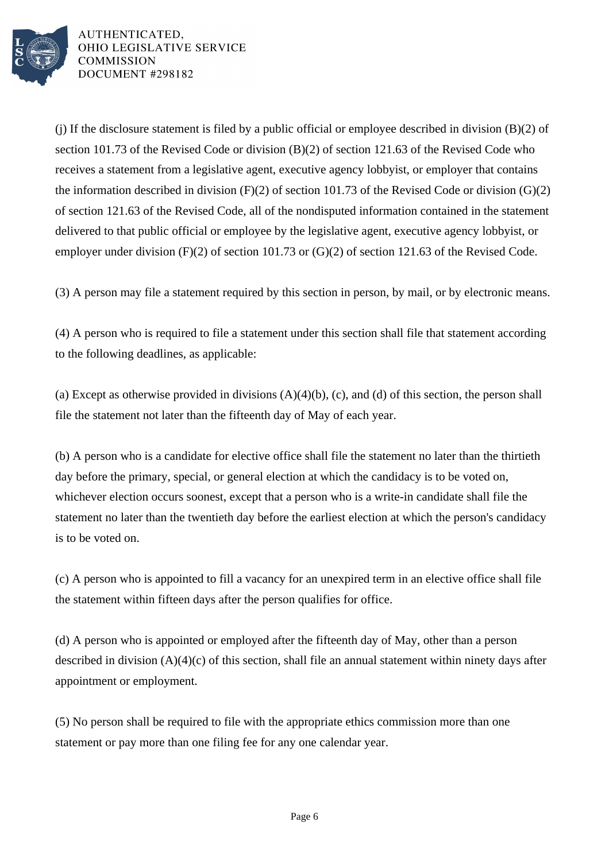

(i) If the disclosure statement is filed by a public official or employee described in division  $(B)(2)$  of section 101.73 of the Revised Code or division (B)(2) of section 121.63 of the Revised Code who receives a statement from a legislative agent, executive agency lobbyist, or employer that contains the information described in division  $(F)(2)$  of section 101.73 of the Revised Code or division  $(G)(2)$ of section 121.63 of the Revised Code, all of the nondisputed information contained in the statement delivered to that public official or employee by the legislative agent, executive agency lobbyist, or employer under division (F)(2) of section 101.73 or (G)(2) of section 121.63 of the Revised Code.

(3) A person may file a statement required by this section in person, by mail, or by electronic means.

(4) A person who is required to file a statement under this section shall file that statement according to the following deadlines, as applicable:

(a) Except as otherwise provided in divisions  $(A)(4)(b)$ , (c), and (d) of this section, the person shall file the statement not later than the fifteenth day of May of each year.

(b) A person who is a candidate for elective office shall file the statement no later than the thirtieth day before the primary, special, or general election at which the candidacy is to be voted on, whichever election occurs soonest, except that a person who is a write-in candidate shall file the statement no later than the twentieth day before the earliest election at which the person's candidacy is to be voted on.

(c) A person who is appointed to fill a vacancy for an unexpired term in an elective office shall file the statement within fifteen days after the person qualifies for office.

(d) A person who is appointed or employed after the fifteenth day of May, other than a person described in division (A)(4)(c) of this section, shall file an annual statement within ninety days after appointment or employment.

(5) No person shall be required to file with the appropriate ethics commission more than one statement or pay more than one filing fee for any one calendar year.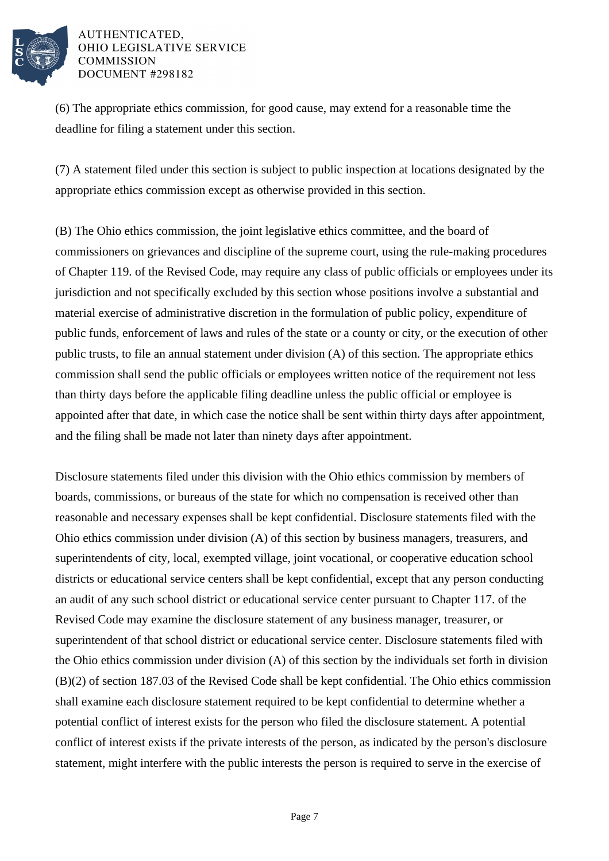

(6) The appropriate ethics commission, for good cause, may extend for a reasonable time the deadline for filing a statement under this section.

(7) A statement filed under this section is subject to public inspection at locations designated by the appropriate ethics commission except as otherwise provided in this section.

(B) The Ohio ethics commission, the joint legislative ethics committee, and the board of commissioners on grievances and discipline of the supreme court, using the rule-making procedures of Chapter 119. of the Revised Code, may require any class of public officials or employees under its jurisdiction and not specifically excluded by this section whose positions involve a substantial and material exercise of administrative discretion in the formulation of public policy, expenditure of public funds, enforcement of laws and rules of the state or a county or city, or the execution of other public trusts, to file an annual statement under division (A) of this section. The appropriate ethics commission shall send the public officials or employees written notice of the requirement not less than thirty days before the applicable filing deadline unless the public official or employee is appointed after that date, in which case the notice shall be sent within thirty days after appointment, and the filing shall be made not later than ninety days after appointment.

Disclosure statements filed under this division with the Ohio ethics commission by members of boards, commissions, or bureaus of the state for which no compensation is received other than reasonable and necessary expenses shall be kept confidential. Disclosure statements filed with the Ohio ethics commission under division (A) of this section by business managers, treasurers, and superintendents of city, local, exempted village, joint vocational, or cooperative education school districts or educational service centers shall be kept confidential, except that any person conducting an audit of any such school district or educational service center pursuant to Chapter 117. of the Revised Code may examine the disclosure statement of any business manager, treasurer, or superintendent of that school district or educational service center. Disclosure statements filed with the Ohio ethics commission under division (A) of this section by the individuals set forth in division (B)(2) of section 187.03 of the Revised Code shall be kept confidential. The Ohio ethics commission shall examine each disclosure statement required to be kept confidential to determine whether a potential conflict of interest exists for the person who filed the disclosure statement. A potential conflict of interest exists if the private interests of the person, as indicated by the person's disclosure statement, might interfere with the public interests the person is required to serve in the exercise of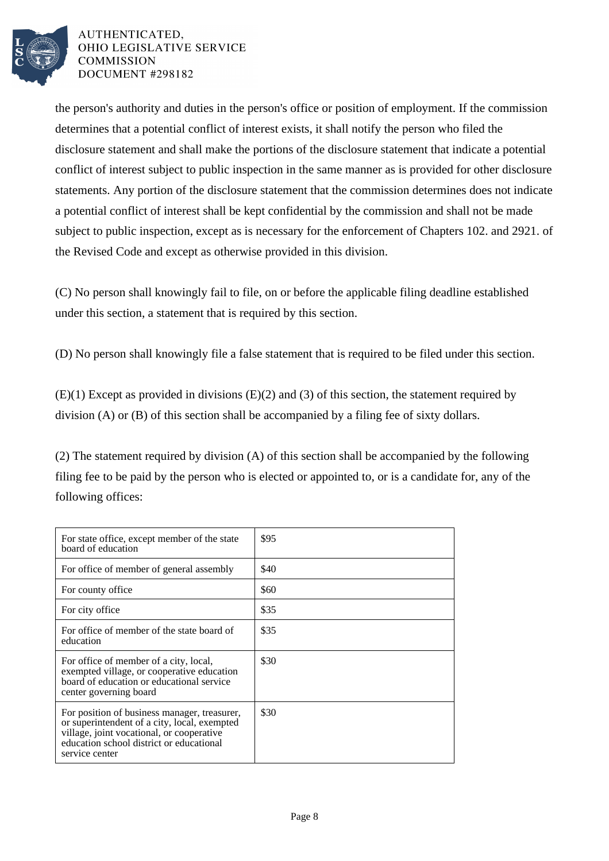

the person's authority and duties in the person's office or position of employment. If the commission determines that a potential conflict of interest exists, it shall notify the person who filed the disclosure statement and shall make the portions of the disclosure statement that indicate a potential conflict of interest subject to public inspection in the same manner as is provided for other disclosure statements. Any portion of the disclosure statement that the commission determines does not indicate a potential conflict of interest shall be kept confidential by the commission and shall not be made subject to public inspection, except as is necessary for the enforcement of Chapters 102. and 2921. of the Revised Code and except as otherwise provided in this division.

(C) No person shall knowingly fail to file, on or before the applicable filing deadline established under this section, a statement that is required by this section.

(D) No person shall knowingly file a false statement that is required to be filed under this section.

(E)(1) Except as provided in divisions (E)(2) and (3) of this section, the statement required by division (A) or (B) of this section shall be accompanied by a filing fee of sixty dollars.

(2) The statement required by division (A) of this section shall be accompanied by the following filing fee to be paid by the person who is elected or appointed to, or is a candidate for, any of the following offices:

| For state office, except member of the state<br>board of education                                                                                                                                      | \$95 |
|---------------------------------------------------------------------------------------------------------------------------------------------------------------------------------------------------------|------|
| For office of member of general assembly                                                                                                                                                                | \$40 |
| For county office                                                                                                                                                                                       | \$60 |
| For city office                                                                                                                                                                                         | \$35 |
| For office of member of the state board of<br>education                                                                                                                                                 | \$35 |
| For office of member of a city, local,<br>exempted village, or cooperative education<br>board of education or educational service<br>center governing board                                             | \$30 |
| For position of business manager, treasurer,<br>or superintendent of a city, local, exempted<br>village, joint vocational, or cooperative<br>education school district or educational<br>service center | \$30 |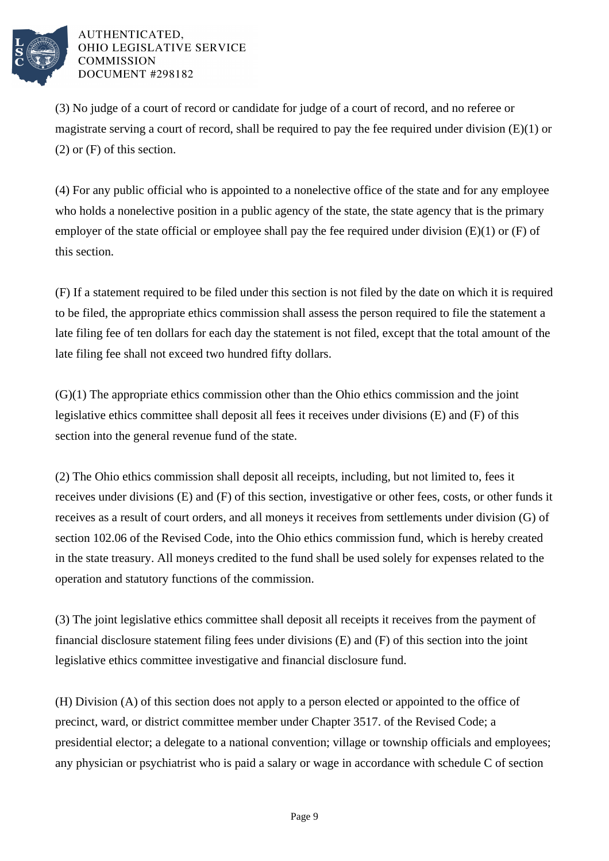

(3) No judge of a court of record or candidate for judge of a court of record, and no referee or magistrate serving a court of record, shall be required to pay the fee required under division  $(E)(1)$  or (2) or (F) of this section.

(4) For any public official who is appointed to a nonelective office of the state and for any employee who holds a nonelective position in a public agency of the state, the state agency that is the primary employer of the state official or employee shall pay the fee required under division  $(E)(1)$  or  $(F)$  of this section.

(F) If a statement required to be filed under this section is not filed by the date on which it is required to be filed, the appropriate ethics commission shall assess the person required to file the statement a late filing fee of ten dollars for each day the statement is not filed, except that the total amount of the late filing fee shall not exceed two hundred fifty dollars.

(G)(1) The appropriate ethics commission other than the Ohio ethics commission and the joint legislative ethics committee shall deposit all fees it receives under divisions (E) and (F) of this section into the general revenue fund of the state.

(2) The Ohio ethics commission shall deposit all receipts, including, but not limited to, fees it receives under divisions (E) and (F) of this section, investigative or other fees, costs, or other funds it receives as a result of court orders, and all moneys it receives from settlements under division (G) of section 102.06 of the Revised Code, into the Ohio ethics commission fund, which is hereby created in the state treasury. All moneys credited to the fund shall be used solely for expenses related to the operation and statutory functions of the commission.

(3) The joint legislative ethics committee shall deposit all receipts it receives from the payment of financial disclosure statement filing fees under divisions (E) and (F) of this section into the joint legislative ethics committee investigative and financial disclosure fund.

(H) Division (A) of this section does not apply to a person elected or appointed to the office of precinct, ward, or district committee member under Chapter 3517. of the Revised Code; a presidential elector; a delegate to a national convention; village or township officials and employees; any physician or psychiatrist who is paid a salary or wage in accordance with schedule C of section